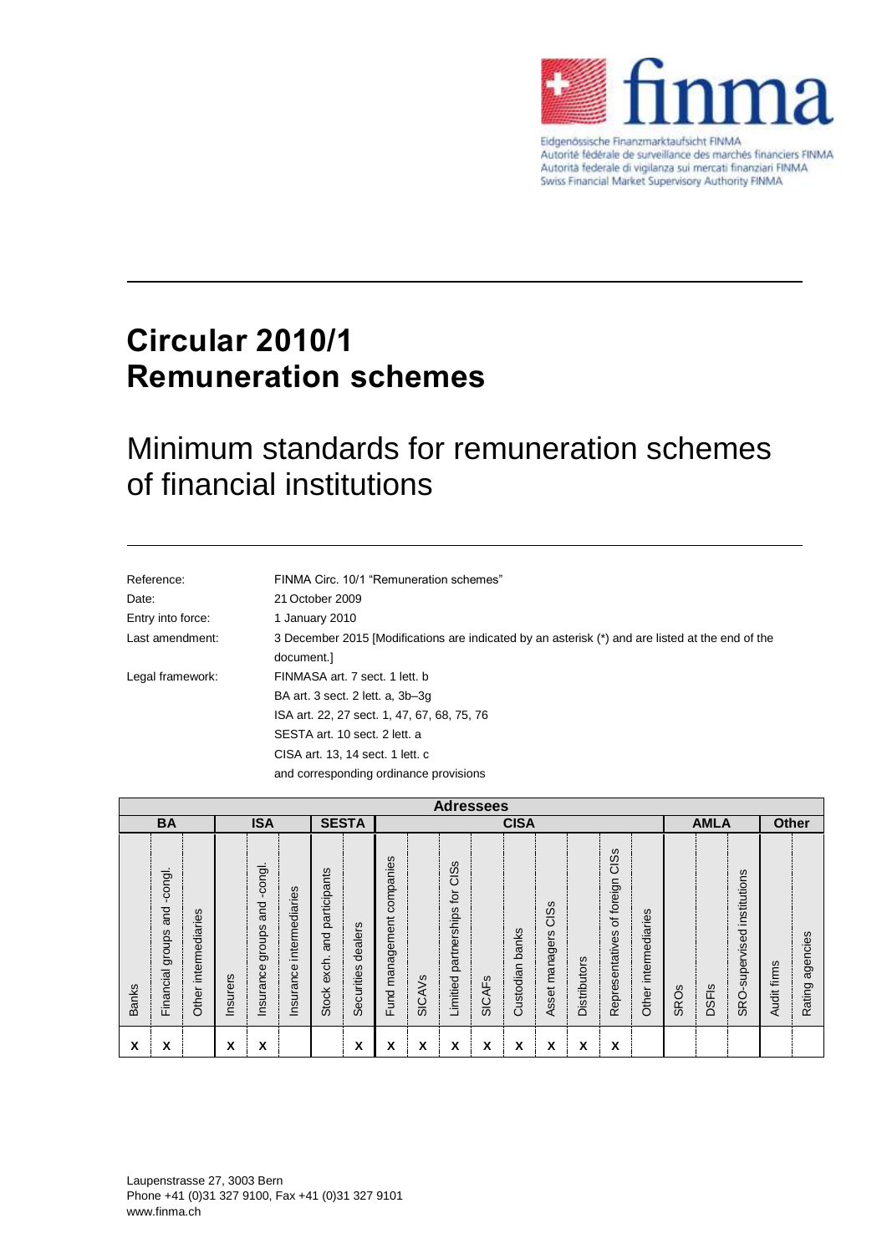

Eidgenössische Finanzmarktaufsicht FINMA Autorité fédérale de surveillance des marchés financiers FINMA Autorità federale di vigilanza sui mercati finanziari FINMA<br>Swiss Financial Market Supervisory Authority FINMA

# **Circular 2010/1 Remuneration schemes**

# Minimum standards for remuneration schemes of financial institutions

| Reference:        | FINMA Circ. 10/1 "Remuneration schemes"                                                          |
|-------------------|--------------------------------------------------------------------------------------------------|
| Date:             | 21 October 2009                                                                                  |
| Entry into force: | 1 January 2010                                                                                   |
| Last amendment:   | 3 December 2015 [Modifications are indicated by an asterisk (*) and are listed at the end of the |
|                   | document.]                                                                                       |
| Legal framework:  | FINMASA art. 7 sect. 1 lett. b                                                                   |
|                   | BA art. 3 sect. 2 lett. a, 3b-3q                                                                 |
|                   | ISA art. 22, 27 sect. 1, 47, 67, 68, 75, 76                                                      |
|                   | SESTA art. 10 sect. 2 lett. a                                                                    |
|                   | CISA art. 13, 14 sect. 1 lett. c                                                                 |
|                   | and corresponding ordinance provisions                                                           |

|              | <b>Adressees</b>                          |                         |            |                                          |                             |                                                                |                       |                                     |               |                                                                                 |                   |                    |                           |              |                                       |                         |              |              |                                     |                |                        |
|--------------|-------------------------------------------|-------------------------|------------|------------------------------------------|-----------------------------|----------------------------------------------------------------|-----------------------|-------------------------------------|---------------|---------------------------------------------------------------------------------|-------------------|--------------------|---------------------------|--------------|---------------------------------------|-------------------------|--------------|--------------|-------------------------------------|----------------|------------------------|
| <b>BA</b>    |                                           |                         | <b>ISA</b> |                                          |                             | <b>SESTA</b>                                                   |                       | <b>CISA</b>                         |               |                                                                                 |                   |                    |                           | <b>AMLA</b>  |                                       |                         | <b>Other</b> |              |                                     |                |                        |
| <b>Banks</b> | -congl.<br>and<br>groups<br>ncial<br>Fina | intermediaries<br>Other | Insurers   | -congl.<br>and<br>groups<br>nce<br>hsura | intermediaries<br>Insurance | participants<br>and<br>$\blacksquare$<br>exch.<br><b>Stock</b> | dealers<br>Securities | ဖ<br>companie<br>management<br>Fund | <b>SICAVS</b> | <b>SC</b><br>$\overline{\tilde{\omega}}$<br>ပ<br>Įg<br>partnerships<br>Limitied | ഗ<br><b>SICAF</b> | banks<br>Custodian | CISS<br>managers<br>Asset | Distributors | CISS<br>of foreign<br>Representatives | intermediaries<br>Other | ဖ<br>SRO.    | <b>DSFIs</b> | institutions<br>-supervised<br>SRO. | firms<br>Audit | ncies<br>age<br>Rating |
| x            | x                                         |                         | v<br>A     | x                                        |                             |                                                                | X                     | Χ                                   | x             | х                                                                               | х                 | x                  | ᄉ                         | x            | X                                     |                         |              |              |                                     |                |                        |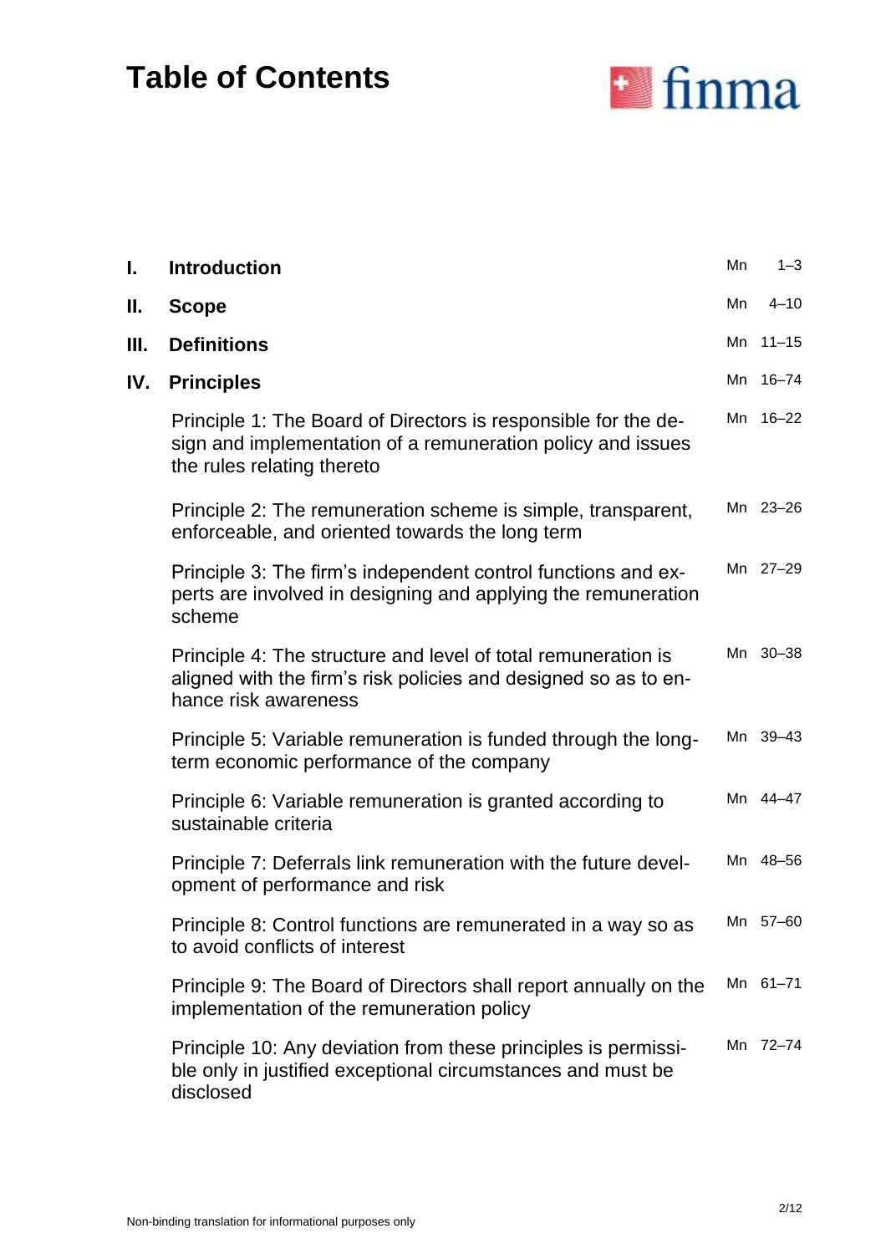# **Table of Contents**



| I.  | <b>Introduction</b>                                                                                                                                         | Mn | $1 - 3$   |
|-----|-------------------------------------------------------------------------------------------------------------------------------------------------------------|----|-----------|
| Ш.  | <b>Scope</b>                                                                                                                                                | Mn | $4 - 10$  |
| Ш.  | <b>Definitions</b>                                                                                                                                          |    | Mn 11-15  |
| IV. | <b>Principles</b>                                                                                                                                           |    | Mn 16-74  |
|     | Principle 1: The Board of Directors is responsible for the de-<br>sign and implementation of a remuneration policy and issues<br>the rules relating thereto | Mn | $16 - 22$ |
|     | Principle 2: The remuneration scheme is simple, transparent,<br>enforceable, and oriented towards the long term                                             |    | Mn 23-26  |
|     | Principle 3: The firm's independent control functions and ex-<br>perts are involved in designing and applying the remuneration<br>scheme                    |    | Mn 27-29  |
|     | Principle 4: The structure and level of total remuneration is<br>aligned with the firm's risk policies and designed so as to en-<br>hance risk awareness    |    | Mn 30-38  |
|     | Principle 5: Variable remuneration is funded through the long-<br>term economic performance of the company                                                  |    | Mn 39-43  |
|     | Principle 6: Variable remuneration is granted according to<br>sustainable criteria                                                                          |    | Mn 44-47  |
|     | Principle 7: Deferrals link remuneration with the future devel-<br>opment of performance and risk                                                           |    | Mn 48-56  |
|     | Principle 8: Control functions are remunerated in a way so as<br>to avoid conflicts of interest                                                             |    | Mn 57-60  |
|     | Principle 9: The Board of Directors shall report annually on the<br>implementation of the remuneration policy                                               |    | Mn 61-71  |
|     | Principle 10: Any deviation from these principles is permissi-<br>ble only in justified exceptional circumstances and must be<br>disclosed                  |    | Mn 72-74  |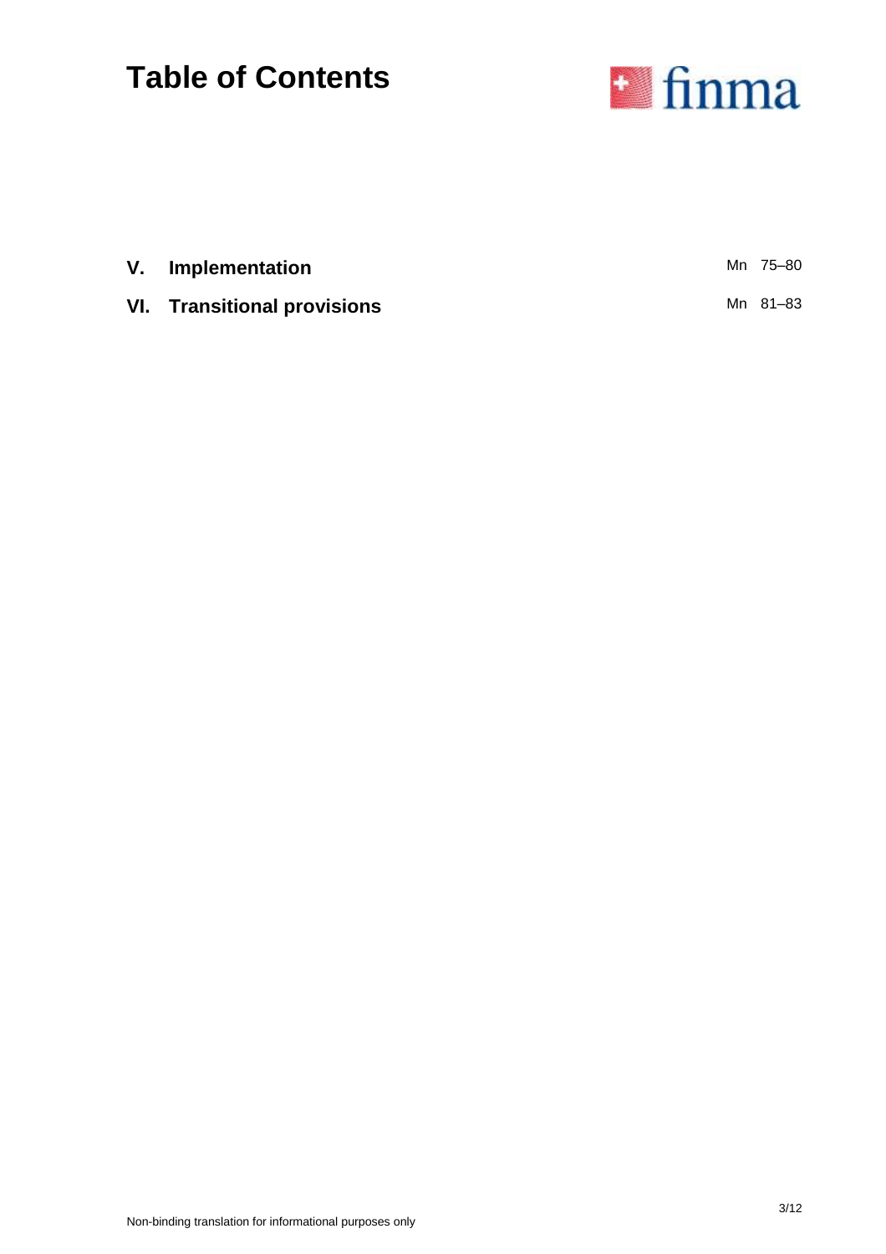# **Table of Contents**



| V. Implementation                  | Mn 75–80 |
|------------------------------------|----------|
| <b>VI.</b> Transitional provisions | Mn 81–83 |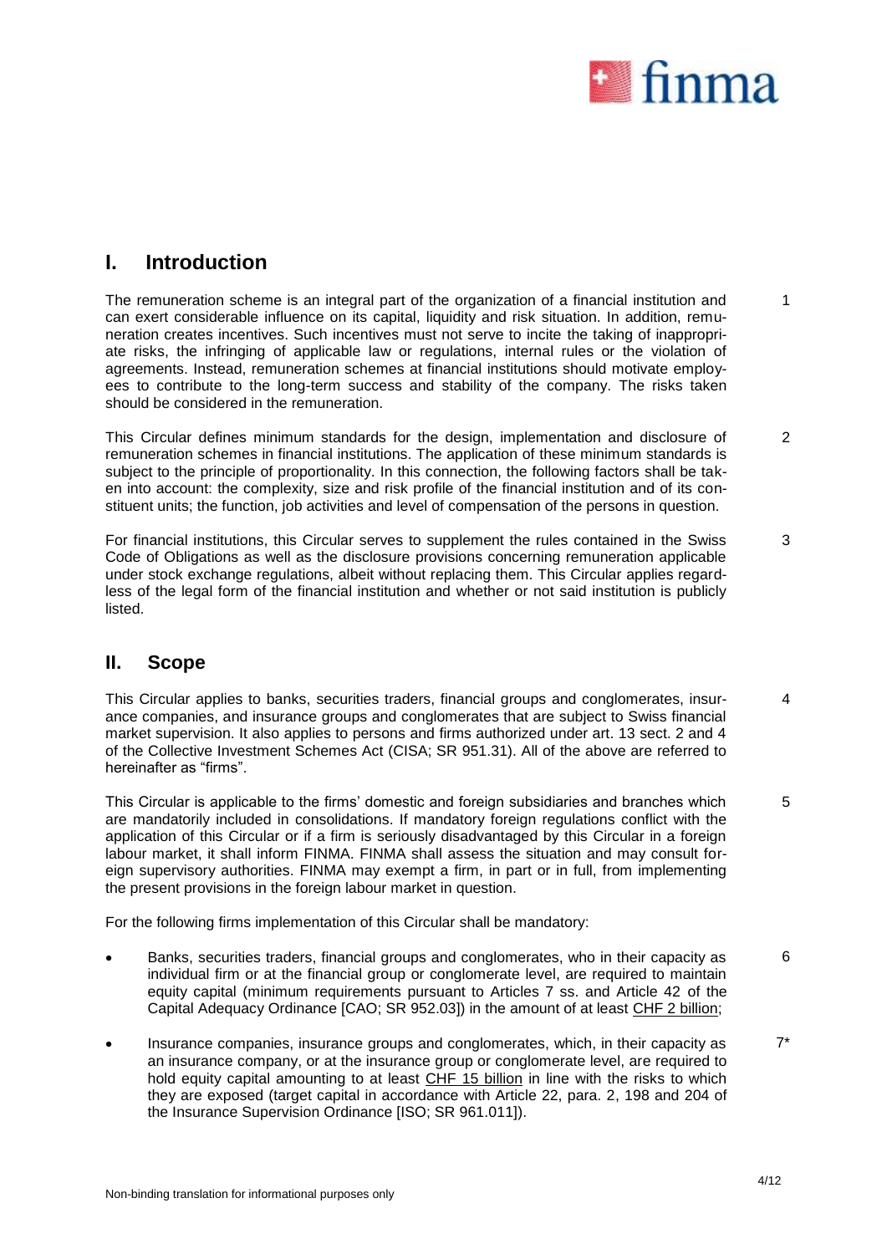

1

# **I. Introduction**

The remuneration scheme is an integral part of the organization of a financial institution and can exert considerable influence on its capital, liquidity and risk situation. In addition, remuneration creates incentives. Such incentives must not serve to incite the taking of inappropriate risks, the infringing of applicable law or regulations, internal rules or the violation of agreements. Instead, remuneration schemes at financial institutions should motivate employees to contribute to the long-term success and stability of the company. The risks taken should be considered in the remuneration.

This Circular defines minimum standards for the design, implementation and disclosure of remuneration schemes in financial institutions. The application of these minimum standards is subject to the principle of proportionality. In this connection, the following factors shall be taken into account: the complexity, size and risk profile of the financial institution and of its constituent units; the function, job activities and level of compensation of the persons in question.  $\overline{2}$ 

For financial institutions, this Circular serves to supplement the rules contained in the Swiss Code of Obligations as well as the disclosure provisions concerning remuneration applicable under stock exchange regulations, albeit without replacing them. This Circular applies regardless of the legal form of the financial institution and whether or not said institution is publicly listed. 3

## **II. Scope**

This Circular applies to banks, securities traders, financial groups and conglomerates, insurance companies, and insurance groups and conglomerates that are subject to Swiss financial market supervision. It also applies to persons and firms authorized under art. 13 sect. 2 and 4 of the Collective Investment Schemes Act (CISA; SR 951.31). All of the above are referred to hereinafter as "firms". 4

This Circular is applicable to the firms' domestic and foreign subsidiaries and branches which are mandatorily included in consolidations. If mandatory foreign regulations conflict with the application of this Circular or if a firm is seriously disadvantaged by this Circular in a foreign labour market, it shall inform FINMA. FINMA shall assess the situation and may consult foreign supervisory authorities. FINMA may exempt a firm, in part or in full, from implementing the present provisions in the foreign labour market in question. 5

For the following firms implementation of this Circular shall be mandatory:

- Banks, securities traders, financial groups and conglomerates, who in their capacity as individual firm or at the financial group or conglomerate level, are required to maintain equity capital (minimum requirements pursuant to Articles 7 ss. and Article 42 of the Capital Adequacy Ordinance [CAO; SR 952.03]) in the amount of at least CHF 2 billion; 6
- Insurance companies, insurance groups and conglomerates, which, in their capacity as an insurance company, or at the insurance group or conglomerate level, are required to hold equity capital amounting to at least CHF 15 billion in line with the risks to which they are exposed (target capital in accordance with Article 22, para. 2, 198 and 204 of the Insurance Supervision Ordinance [ISO; SR 961.011]). 7\*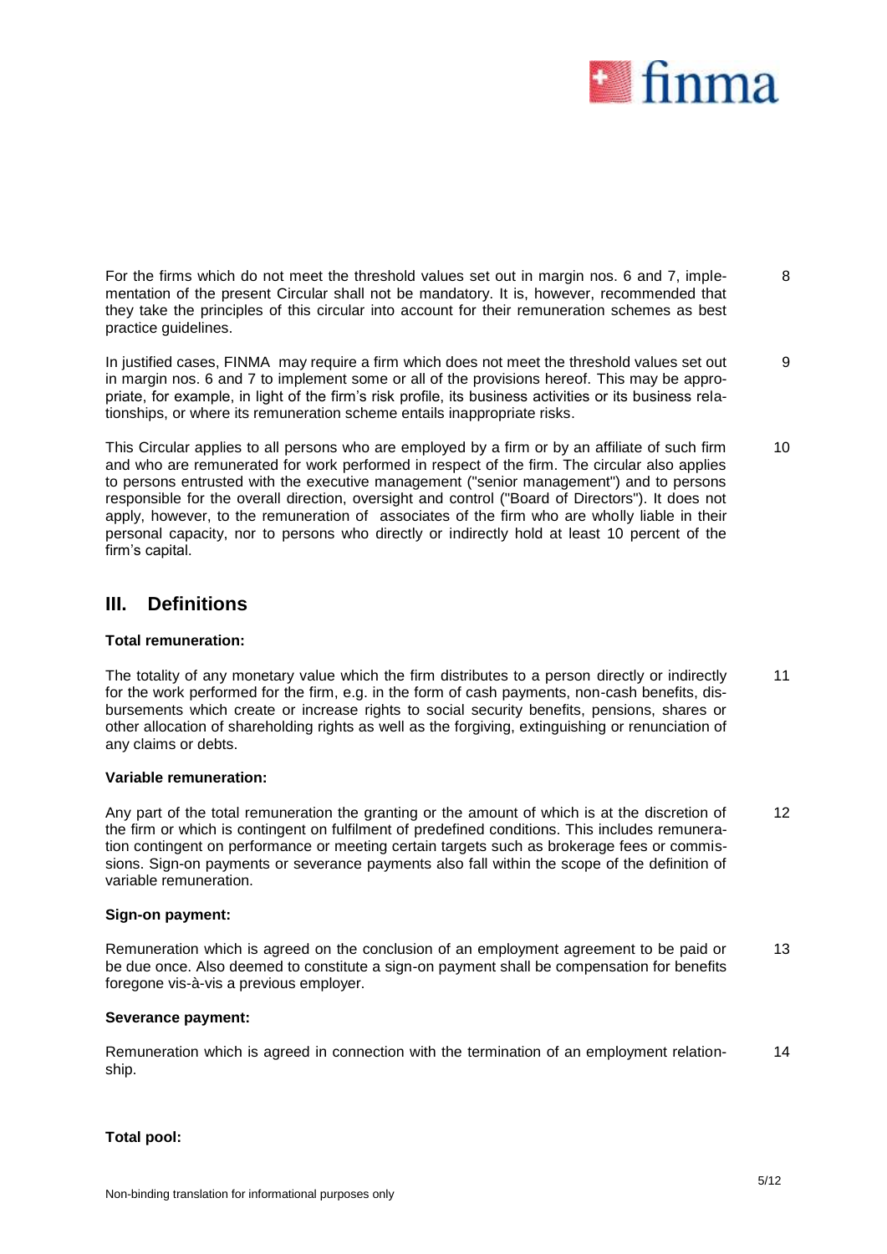

For the firms which do not meet the threshold values set out in margin nos. 6 and 7, implementation of the present Circular shall not be mandatory. It is, however, recommended that they take the principles of this circular into account for their remuneration schemes as best practice guidelines. 8

In justified cases, FINMA may require a firm which does not meet the threshold values set out in margin nos. 6 and 7 to implement some or all of the provisions hereof. This may be appropriate, for example, in light of the firm's risk profile, its business activities or its business relationships, or where its remuneration scheme entails inappropriate risks. 9

This Circular applies to all persons who are employed by a firm or by an affiliate of such firm and who are remunerated for work performed in respect of the firm. The circular also applies to persons entrusted with the executive management ("senior management") and to persons responsible for the overall direction, oversight and control ("Board of Directors"). It does not apply, however, to the remuneration of associates of the firm who are wholly liable in their personal capacity, nor to persons who directly or indirectly hold at least 10 percent of the firm's capital. 10

## **III. Definitions**

## **Total remuneration:**

The totality of any monetary value which the firm distributes to a person directly or indirectly for the work performed for the firm, e.g. in the form of cash payments, non-cash benefits, disbursements which create or increase rights to social security benefits, pensions, shares or other allocation of shareholding rights as well as the forgiving, extinguishing or renunciation of any claims or debts. 11

### **Variable remuneration:**

Any part of the total remuneration the granting or the amount of which is at the discretion of the firm or which is contingent on fulfilment of predefined conditions. This includes remuneration contingent on performance or meeting certain targets such as brokerage fees or commissions. Sign-on payments or severance payments also fall within the scope of the definition of variable remuneration. 12

### **Sign-on payment:**

Remuneration which is agreed on the conclusion of an employment agreement to be paid or be due once. Also deemed to constitute a sign-on payment shall be compensation for benefits foregone vis-à-vis a previous employer. 13

## **Severance payment:**

Remuneration which is agreed in connection with the termination of an employment relationship. 14

### **Total pool:**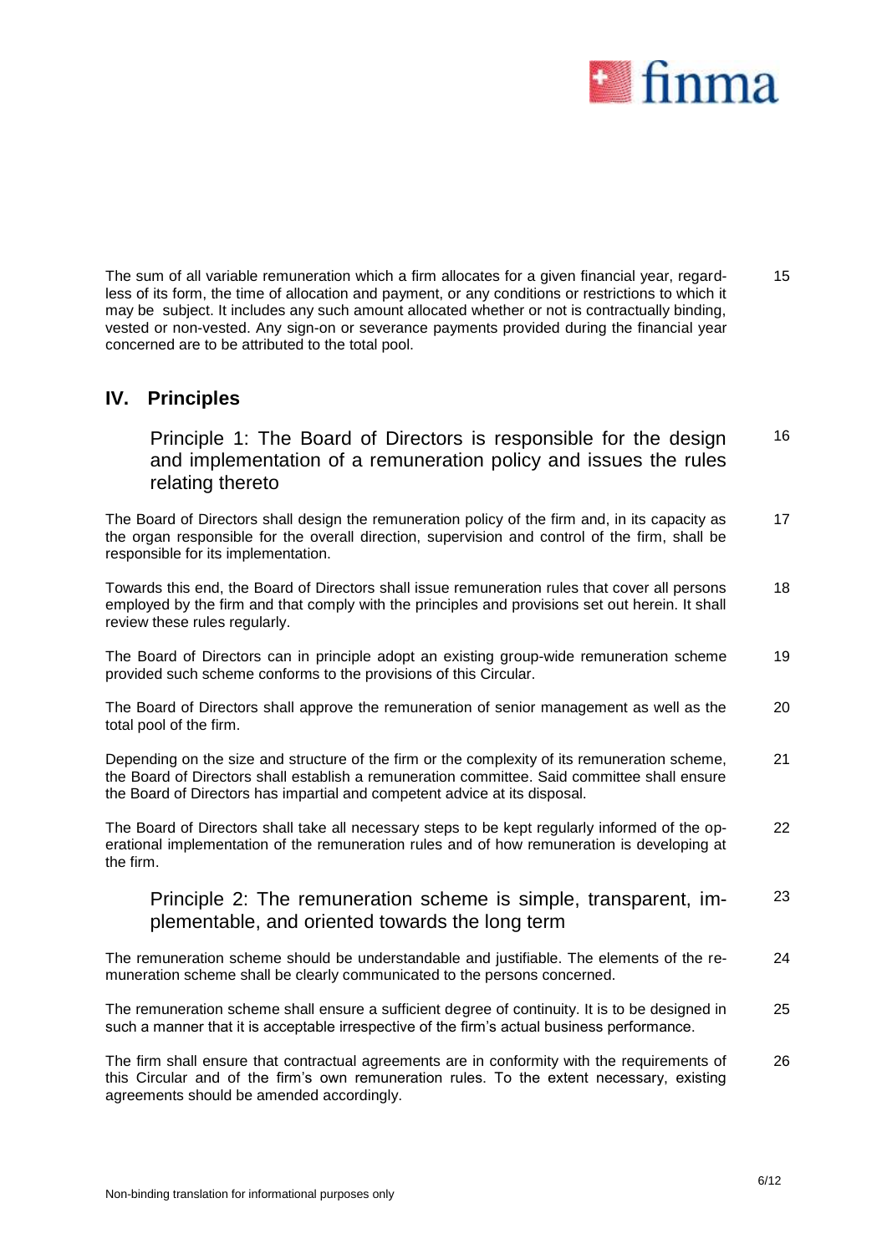

The sum of all variable remuneration which a firm allocates for a given financial year, regardless of its form, the time of allocation and payment, or any conditions or restrictions to which it may be subject. It includes any such amount allocated whether or not is contractually binding, vested or non-vested. Any sign-on or severance payments provided during the financial year concerned are to be attributed to the total pool. 15

## **IV. Principles**

Principle 1: The Board of Directors is responsible for the design and implementation of a remuneration policy and issues the rules relating thereto 16

The Board of Directors shall design the remuneration policy of the firm and, in its capacity as the organ responsible for the overall direction, supervision and control of the firm, shall be responsible for its implementation. 17

Towards this end, the Board of Directors shall issue remuneration rules that cover all persons employed by the firm and that comply with the principles and provisions set out herein. It shall review these rules regularly. 18

The Board of Directors can in principle adopt an existing group-wide remuneration scheme provided such scheme conforms to the provisions of this Circular. 19

The Board of Directors shall approve the remuneration of senior management as well as the total pool of the firm. 20

Depending on the size and structure of the firm or the complexity of its remuneration scheme, the Board of Directors shall establish a remuneration committee. Said committee shall ensure the Board of Directors has impartial and competent advice at its disposal. 21

The Board of Directors shall take all necessary steps to be kept regularly informed of the operational implementation of the remuneration rules and of how remuneration is developing at the firm. 22

#### Principle 2: The remuneration scheme is simple, transparent, implementable, and oriented towards the long term 23

The remuneration scheme should be understandable and justifiable. The elements of the remuneration scheme shall be clearly communicated to the persons concerned. 24

The remuneration scheme shall ensure a sufficient degree of continuity. It is to be designed in such a manner that it is acceptable irrespective of the firm's actual business performance. 25

The firm shall ensure that contractual agreements are in conformity with the requirements of this Circular and of the firm's own remuneration rules. To the extent necessary, existing agreements should be amended accordingly. 26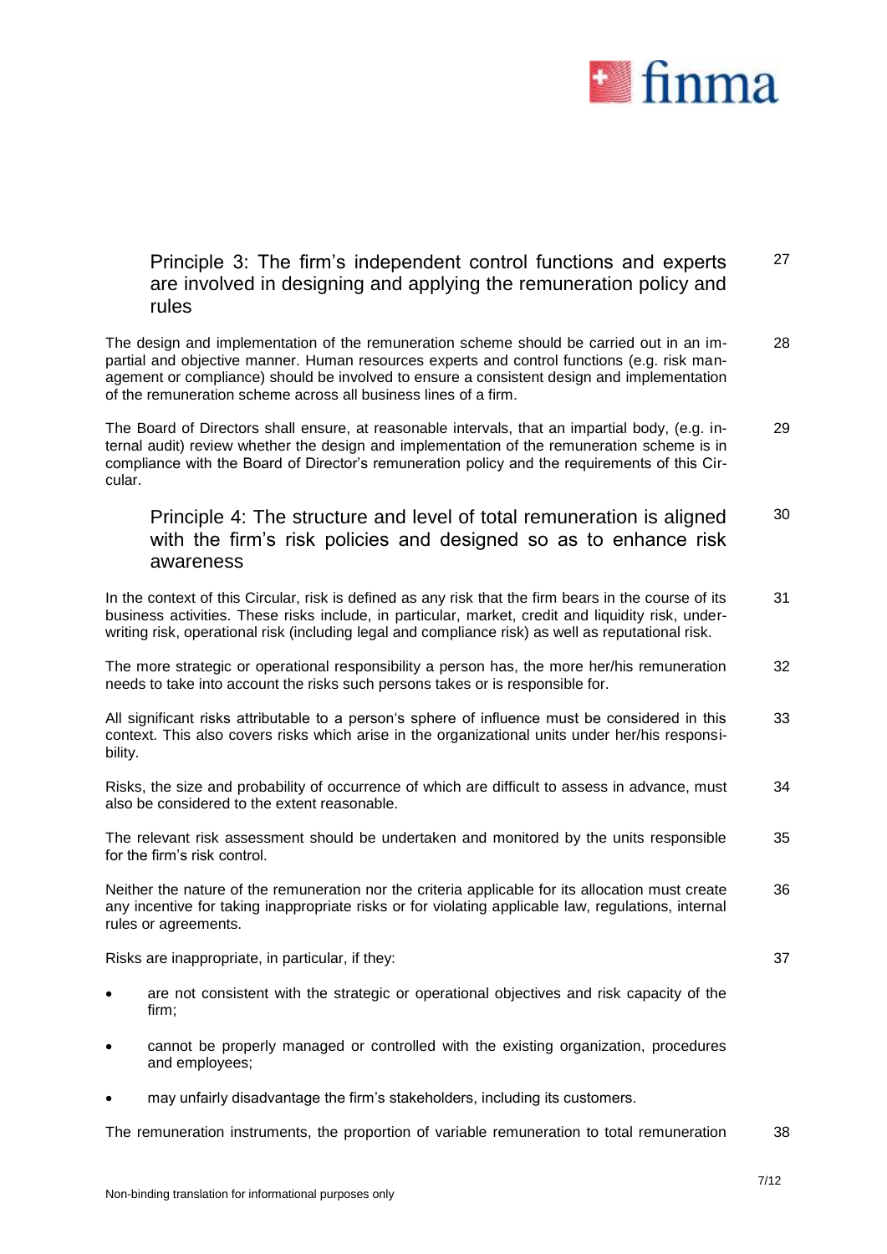

### Principle 3: The firm's independent control functions and experts are involved in designing and applying the remuneration policy and rules 27

The design and implementation of the remuneration scheme should be carried out in an impartial and objective manner. Human resources experts and control functions (e.g. risk management or compliance) should be involved to ensure a consistent design and implementation of the remuneration scheme across all business lines of a firm. 28

The Board of Directors shall ensure, at reasonable intervals, that an impartial body, (e.g. internal audit) review whether the design and implementation of the remuneration scheme is in compliance with the Board of Director's remuneration policy and the requirements of this Circular. 29

### Principle 4: The structure and level of total remuneration is aligned with the firm's risk policies and designed so as to enhance risk awareness 30

In the context of this Circular, risk is defined as any risk that the firm bears in the course of its business activities. These risks include, in particular, market, credit and liquidity risk, underwriting risk, operational risk (including legal and compliance risk) as well as reputational risk. 31

The more strategic or operational responsibility a person has, the more her/his remuneration needs to take into account the risks such persons takes or is responsible for. 32

All significant risks attributable to a person's sphere of influence must be considered in this context. This also covers risks which arise in the organizational units under her/his responsibility. 33

Risks, the size and probability of occurrence of which are difficult to assess in advance, must also be considered to the extent reasonable. 34

The relevant risk assessment should be undertaken and monitored by the units responsible for the firm's risk control. 35

Neither the nature of the remuneration nor the criteria applicable for its allocation must create any incentive for taking inappropriate risks or for violating applicable law, regulations, internal rules or agreements. 36

Risks are inappropriate, in particular, if they: 37

- are not consistent with the strategic or operational objectives and risk capacity of the firm;
- cannot be properly managed or controlled with the existing organization, procedures and employees;
- may unfairly disadvantage the firm's stakeholders, including its customers.

The remuneration instruments, the proportion of variable remuneration to total remuneration 38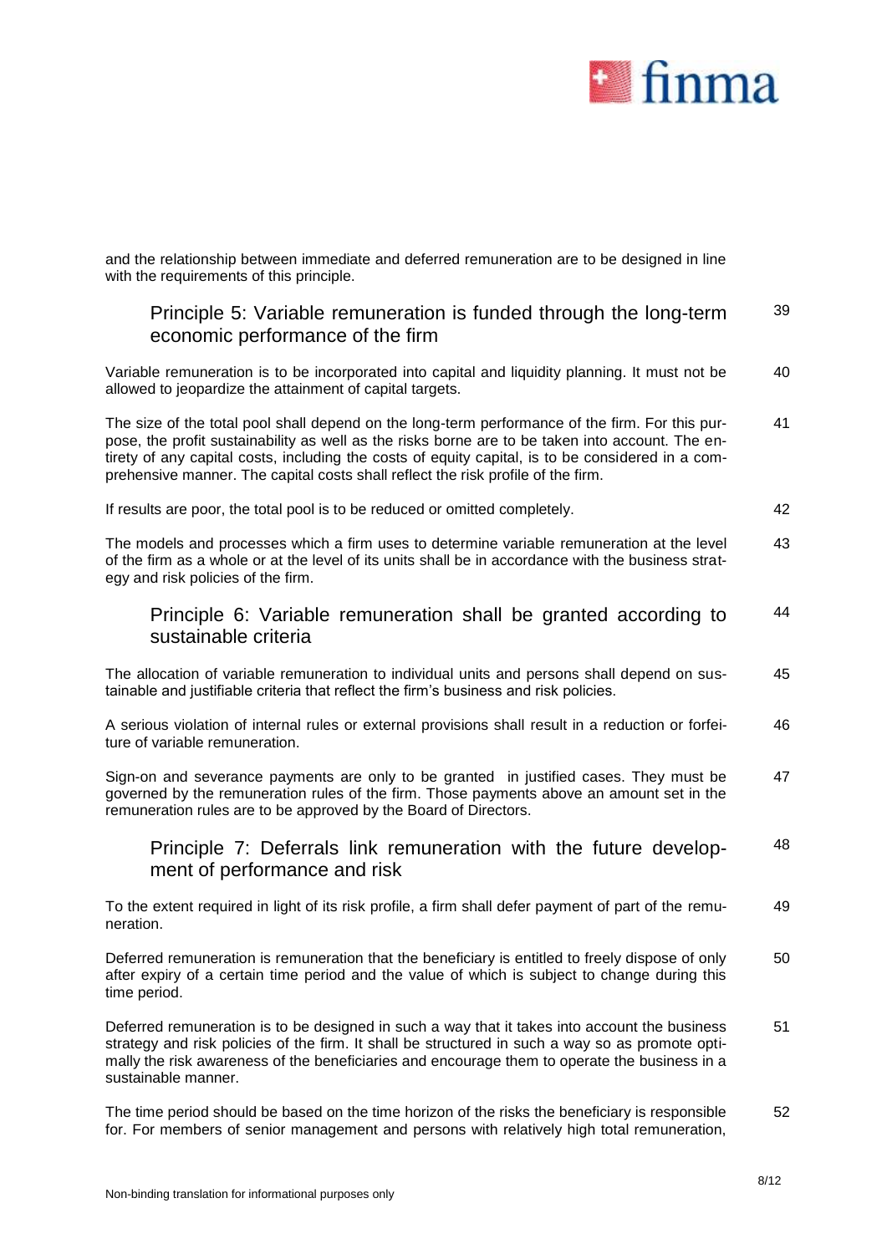

and the relationship between immediate and deferred remuneration are to be designed in line with the requirements of this principle.

#### Principle 5: Variable remuneration is funded through the long-term economic performance of the firm 39

Variable remuneration is to be incorporated into capital and liquidity planning. It must not be allowed to jeopardize the attainment of capital targets. 40

The size of the total pool shall depend on the long-term performance of the firm. For this purpose, the profit sustainability as well as the risks borne are to be taken into account. The entirety of any capital costs, including the costs of equity capital, is to be considered in a comprehensive manner. The capital costs shall reflect the risk profile of the firm. 41

If results are poor, the total pool is to be reduced or omitted completely. 42

The models and processes which a firm uses to determine variable remuneration at the level of the firm as a whole or at the level of its units shall be in accordance with the business strategy and risk policies of the firm. 43

#### Principle 6: Variable remuneration shall be granted according to sustainable criteria 44

The allocation of variable remuneration to individual units and persons shall depend on sustainable and justifiable criteria that reflect the firm's business and risk policies. 45

A serious violation of internal rules or external provisions shall result in a reduction or forfeiture of variable remuneration. 46

Sign-on and severance payments are only to be granted in justified cases. They must be governed by the remuneration rules of the firm. Those payments above an amount set in the remuneration rules are to be approved by the Board of Directors. 47

#### Principle 7: Deferrals link remuneration with the future development of performance and risk 48

To the extent required in light of its risk profile, a firm shall defer payment of part of the remuneration. 49

Deferred remuneration is remuneration that the beneficiary is entitled to freely dispose of only after expiry of a certain time period and the value of which is subject to change during this time period. 50

Deferred remuneration is to be designed in such a way that it takes into account the business strategy and risk policies of the firm. It shall be structured in such a way so as promote optimally the risk awareness of the beneficiaries and encourage them to operate the business in a sustainable manner. 51

The time period should be based on the time horizon of the risks the beneficiary is responsible for. For members of senior management and persons with relatively high total remuneration, 52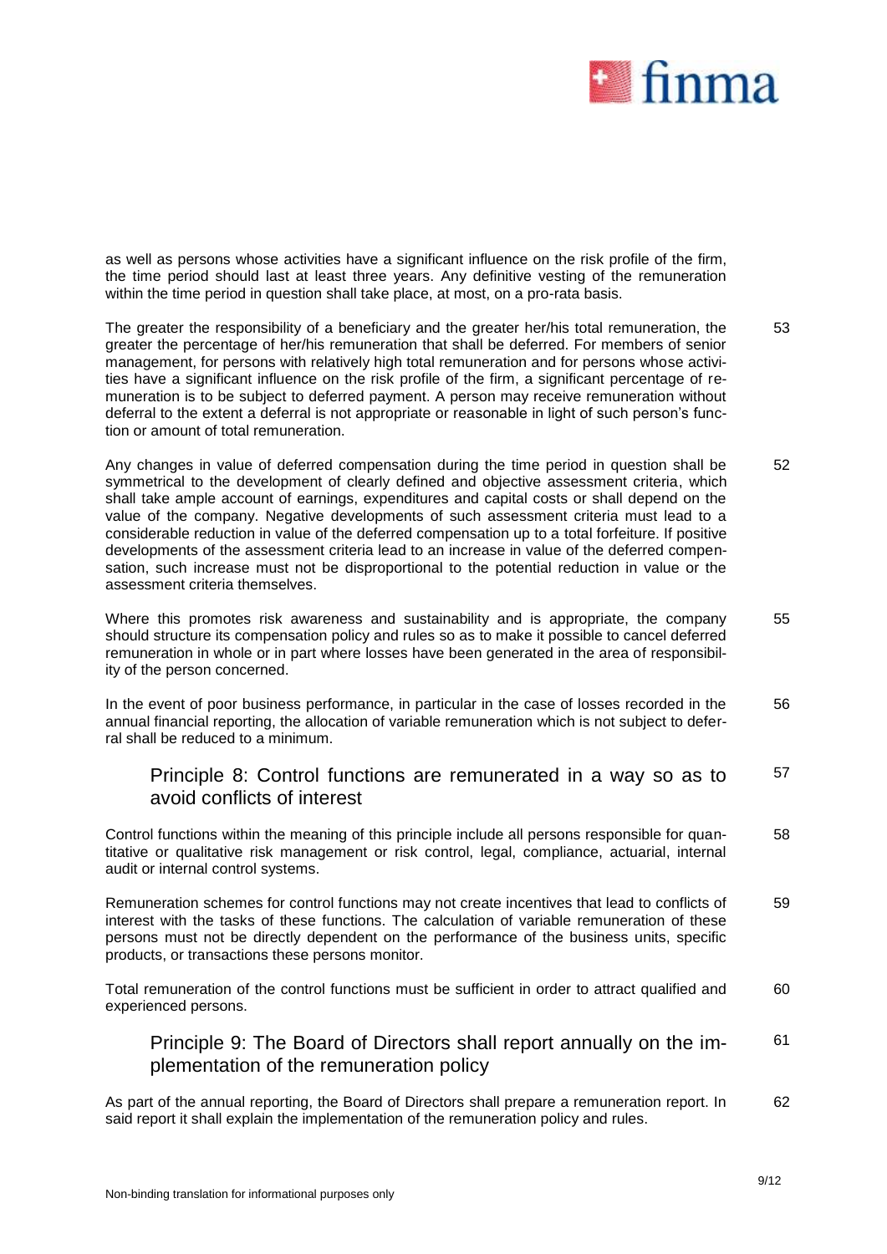

as well as persons whose activities have a significant influence on the risk profile of the firm, the time period should last at least three years. Any definitive vesting of the remuneration within the time period in question shall take place, at most, on a pro-rata basis.

The greater the responsibility of a beneficiary and the greater her/his total remuneration, the greater the percentage of her/his remuneration that shall be deferred. For members of senior management, for persons with relatively high total remuneration and for persons whose activities have a significant influence on the risk profile of the firm, a significant percentage of remuneration is to be subject to deferred payment. A person may receive remuneration without deferral to the extent a deferral is not appropriate or reasonable in light of such person's function or amount of total remuneration. 53

Any changes in value of deferred compensation during the time period in question shall be symmetrical to the development of clearly defined and objective assessment criteria, which shall take ample account of earnings, expenditures and capital costs or shall depend on the value of the company. Negative developments of such assessment criteria must lead to a considerable reduction in value of the deferred compensation up to a total forfeiture. If positive developments of the assessment criteria lead to an increase in value of the deferred compensation, such increase must not be disproportional to the potential reduction in value or the assessment criteria themselves. 52

Where this promotes risk awareness and sustainability and is appropriate, the company should structure its compensation policy and rules so as to make it possible to cancel deferred remuneration in whole or in part where losses have been generated in the area of responsibility of the person concerned. 55

In the event of poor business performance, in particular in the case of losses recorded in the annual financial reporting, the allocation of variable remuneration which is not subject to deferral shall be reduced to a minimum. 56

#### Principle 8: Control functions are remunerated in a way so as to avoid conflicts of interest 57

Control functions within the meaning of this principle include all persons responsible for quantitative or qualitative risk management or risk control, legal, compliance, actuarial, internal audit or internal control systems. 58

Remuneration schemes for control functions may not create incentives that lead to conflicts of interest with the tasks of these functions. The calculation of variable remuneration of these persons must not be directly dependent on the performance of the business units, specific products, or transactions these persons monitor. 59

Total remuneration of the control functions must be sufficient in order to attract qualified and experienced persons. 60

Principle 9: The Board of Directors shall report annually on the implementation of the remuneration policy 61

As part of the annual reporting, the Board of Directors shall prepare a remuneration report. In said report it shall explain the implementation of the remuneration policy and rules. 62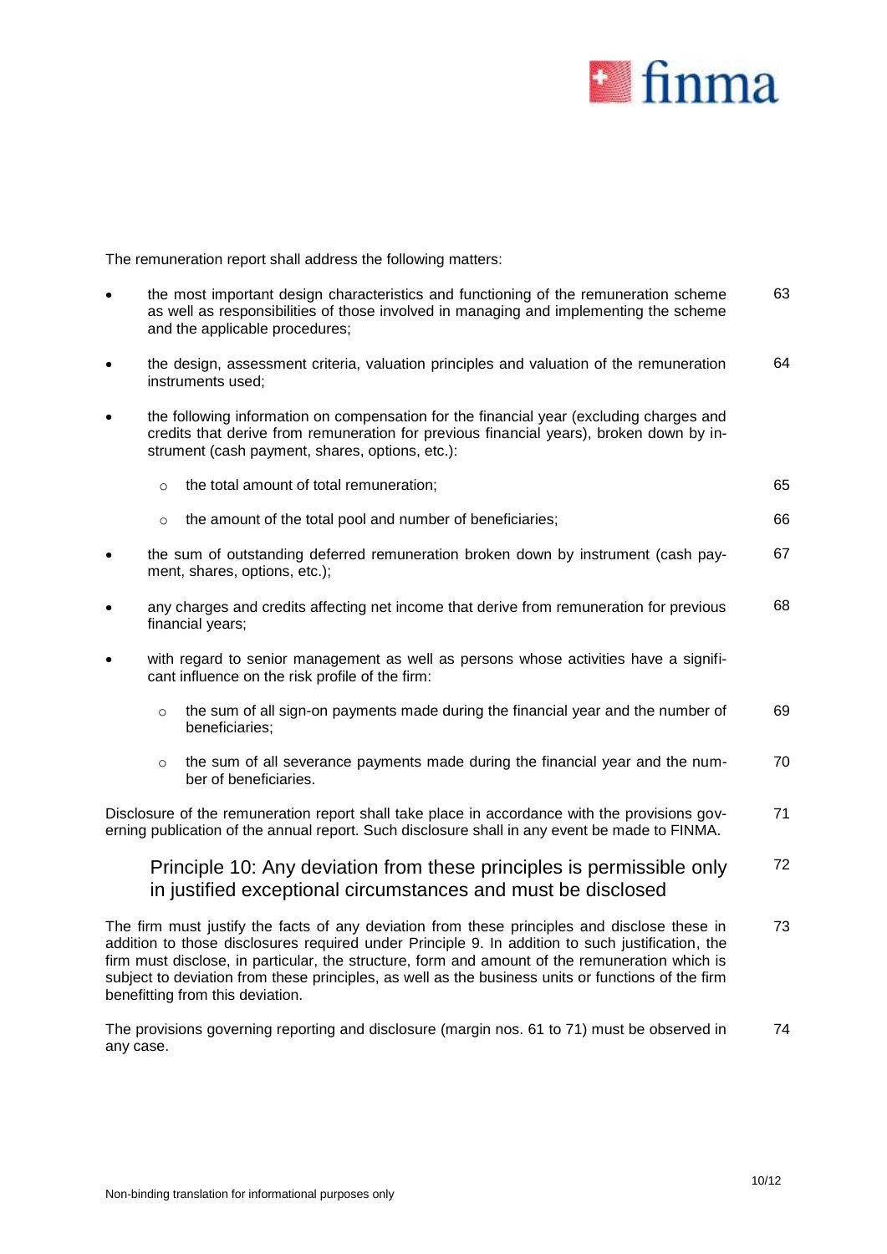

The remuneration report shall address the following matters:

|           |                                                                                                                                                                                                                                       | the most important design characteristics and functioning of the remuneration scheme                                                                                                                                                                                                                                                                                                                     | 63 |  |  |  |  |  |  |  |
|-----------|---------------------------------------------------------------------------------------------------------------------------------------------------------------------------------------------------------------------------------------|----------------------------------------------------------------------------------------------------------------------------------------------------------------------------------------------------------------------------------------------------------------------------------------------------------------------------------------------------------------------------------------------------------|----|--|--|--|--|--|--|--|
|           | as well as responsibilities of those involved in managing and implementing the scheme<br>and the applicable procedures;                                                                                                               |                                                                                                                                                                                                                                                                                                                                                                                                          |    |  |  |  |  |  |  |  |
| $\bullet$ |                                                                                                                                                                                                                                       | the design, assessment criteria, valuation principles and valuation of the remuneration<br>instruments used;                                                                                                                                                                                                                                                                                             | 64 |  |  |  |  |  |  |  |
|           | the following information on compensation for the financial year (excluding charges and<br>credits that derive from remuneration for previous financial years), broken down by in-<br>strument (cash payment, shares, options, etc.): |                                                                                                                                                                                                                                                                                                                                                                                                          |    |  |  |  |  |  |  |  |
|           | $\circ$                                                                                                                                                                                                                               | the total amount of total remuneration;                                                                                                                                                                                                                                                                                                                                                                  | 65 |  |  |  |  |  |  |  |
|           | $\circ$                                                                                                                                                                                                                               | the amount of the total pool and number of beneficiaries;                                                                                                                                                                                                                                                                                                                                                | 66 |  |  |  |  |  |  |  |
|           |                                                                                                                                                                                                                                       | the sum of outstanding deferred remuneration broken down by instrument (cash pay-<br>ment, shares, options, etc.);                                                                                                                                                                                                                                                                                       | 67 |  |  |  |  |  |  |  |
| $\bullet$ |                                                                                                                                                                                                                                       | any charges and credits affecting net income that derive from remuneration for previous<br>financial years;                                                                                                                                                                                                                                                                                              | 68 |  |  |  |  |  |  |  |
|           |                                                                                                                                                                                                                                       | with regard to senior management as well as persons whose activities have a signifi-<br>cant influence on the risk profile of the firm:                                                                                                                                                                                                                                                                  |    |  |  |  |  |  |  |  |
|           | $\circ$                                                                                                                                                                                                                               | the sum of all sign-on payments made during the financial year and the number of<br>beneficiaries;                                                                                                                                                                                                                                                                                                       | 69 |  |  |  |  |  |  |  |
|           | $\circ$                                                                                                                                                                                                                               | the sum of all severance payments made during the financial year and the num-<br>ber of beneficiaries.                                                                                                                                                                                                                                                                                                   | 70 |  |  |  |  |  |  |  |
|           |                                                                                                                                                                                                                                       | Disclosure of the remuneration report shall take place in accordance with the provisions gov-<br>erning publication of the annual report. Such disclosure shall in any event be made to FINMA.                                                                                                                                                                                                           | 71 |  |  |  |  |  |  |  |
|           |                                                                                                                                                                                                                                       | Principle 10: Any deviation from these principles is permissible only<br>in justified exceptional circumstances and must be disclosed                                                                                                                                                                                                                                                                    | 72 |  |  |  |  |  |  |  |
|           |                                                                                                                                                                                                                                       | The firm must justify the facts of any deviation from these principles and disclose these in<br>addition to those disclosures required under Principle 9. In addition to such justification, the<br>firm must disclose, in particular, the structure, form and amount of the remuneration which is<br>subject to deviation from these principles, as well as the business units or functions of the firm | 73 |  |  |  |  |  |  |  |

The provisions governing reporting and disclosure (margin nos. 61 to 71) must be observed in any case.

benefitting from this deviation.

74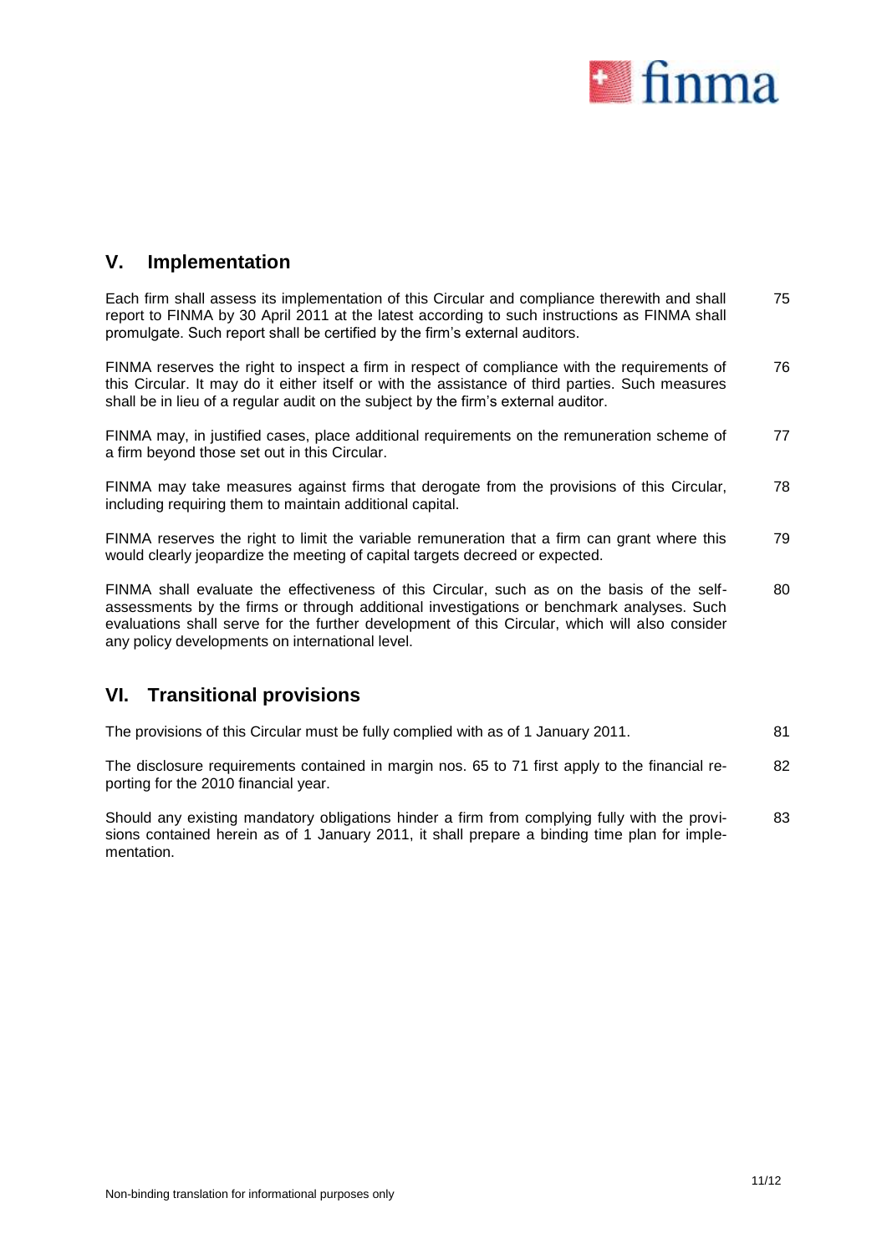

# **V. Implementation**

Each firm shall assess its implementation of this Circular and compliance therewith and shall report to FINMA by 30 April 2011 at the latest according to such instructions as FINMA shall promulgate. Such report shall be certified by the firm's external auditors. 75

FINMA reserves the right to inspect a firm in respect of compliance with the requirements of this Circular. It may do it either itself or with the assistance of third parties. Such measures shall be in lieu of a regular audit on the subject by the firm's external auditor. 76

FINMA may, in justified cases, place additional requirements on the remuneration scheme of a firm beyond those set out in this Circular. 77

FINMA may take measures against firms that derogate from the provisions of this Circular, including requiring them to maintain additional capital. 78

FINMA reserves the right to limit the variable remuneration that a firm can grant where this would clearly jeopardize the meeting of capital targets decreed or expected. 79

FINMA shall evaluate the effectiveness of this Circular, such as on the basis of the selfassessments by the firms or through additional investigations or benchmark analyses. Such evaluations shall serve for the further development of this Circular, which will also consider any policy developments on international level. 80

## **VI. Transitional provisions**

| The provisions of this Circular must be fully complied with as of 1 January 2011. |  |  |
|-----------------------------------------------------------------------------------|--|--|
|                                                                                   |  |  |

The disclosure requirements contained in margin nos. 65 to 71 first apply to the financial reporting for the 2010 financial year. 82

Should any existing mandatory obligations hinder a firm from complying fully with the provisions contained herein as of 1 January 2011, it shall prepare a binding time plan for implementation. 83